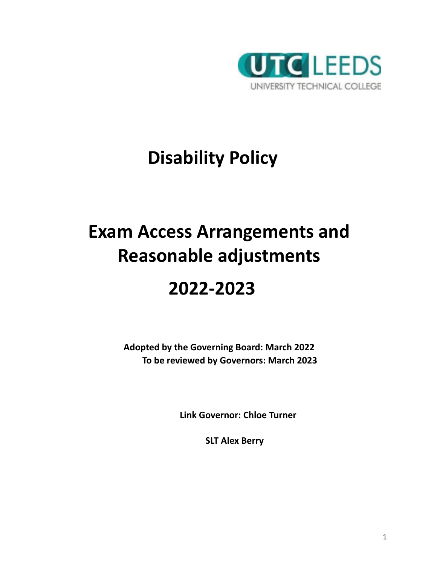

# **Disability Policy**

# **Exam Access Arrangements and Reasonable adjustments**

## **2022-2023**

**Adopted by the Governing Board: March 2022 To be reviewed by Governors: March 2023**

**Link Governor: Chloe Turner**

**SLT Alex Berry**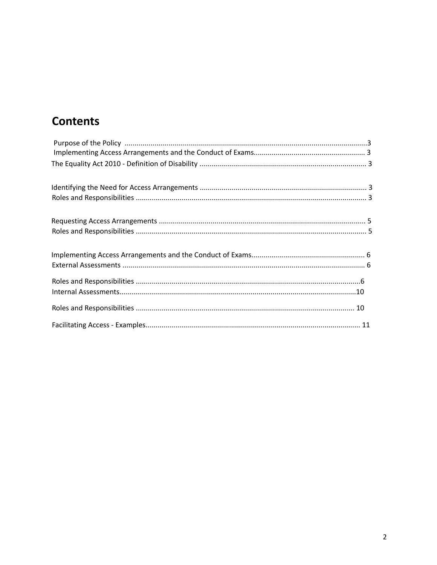## **Contents**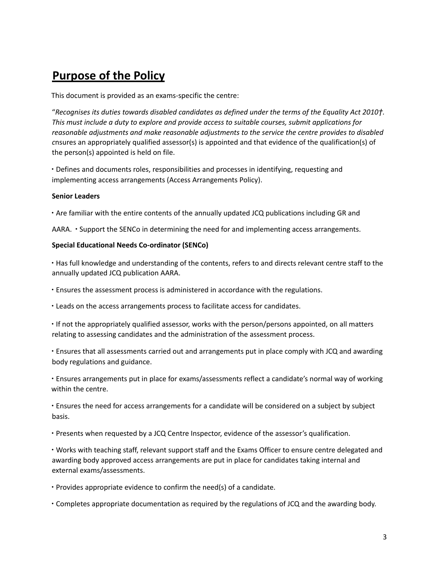## **Purpose of the Policy**

This document is provided as an exams-specific the centre:

"Recognises its duties towards disabled candidates as defined under the terms of the Equality Act 2010†. *This must include a duty to explore and provide access to suitable courses, submit applications for reasonable adjustments and make reasonable adjustments to the service the centre provides to disabled c*nsures an appropriately qualified assessor(s) is appointed and that evidence of the qualification(s) of the person(s) appointed is held on file.

∙ Defines and documents roles, responsibilities and processes in identifying, requesting and implementing access arrangements (Access Arrangements Policy).

## **Senior Leaders**

∙ Are familiar with the entire contents of the annually updated JCQ publications including GR and

AARA. ∙ Support the SENCo in determining the need for and implementing access arrangements.

## **Special Educational Needs Co-ordinator (SENCo)**

∙ Has full knowledge and understanding of the contents, refers to and directs relevant centre staff to the annually updated JCQ publication AARA.

∙ Ensures the assessment process is administered in accordance with the regulations.

∙ Leads on the access arrangements process to facilitate access for candidates.

∙ If not the appropriately qualified assessor, works with the person/persons appointed, on all matters relating to assessing candidates and the administration of the assessment process.

∙ Ensures that all assessments carried out and arrangements put in place comply with JCQ and awarding body regulations and guidance.

∙ Ensures arrangements put in place for exams/assessments reflect a candidate's normal way of working within the centre.

∙ Ensures the need for access arrangements for a candidate will be considered on a subject by subject basis.

∙ Presents when requested by a JCQ Centre Inspector, evidence of the assessor's qualification.

∙ Works with teaching staff, relevant support staff and the Exams Officer to ensure centre delegated and awarding body approved access arrangements are put in place for candidates taking internal and external exams/assessments.

∙ Provides appropriate evidence to confirm the need(s) of a candidate.

∙ Completes appropriate documentation as required by the regulations of JCQ and the awarding body.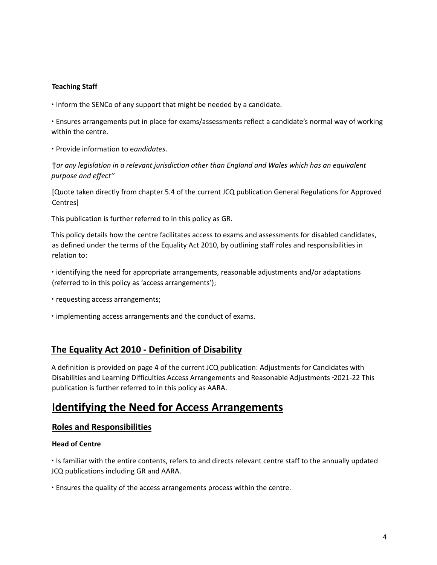## **Teaching Staff**

∙ Inform the SENCo of any support that might be needed by a candidate.

∙ Ensures arrangements put in place for exams/assessments reflect a candidate's normal way of working within the centre.

∙ Provide information to e*andidates*.

†*or any legislation in a relevant jurisdiction other than England and Wales which has an equivalent purpose and effect"*

[Quote taken directly from chapter 5.4 of the current JCQ publication General Regulations for Approved Centres]

This publication is further referred to in this policy as GR.

This policy details how the centre facilitates access to exams and assessments for disabled candidates, as defined under the terms of the Equality Act 2010, by outlining staff roles and responsibilities in relation to:

- ∙ identifying the need for appropriate arrangements, reasonable adjustments and/or adaptations (referred to in this policy as 'access arrangements');
- ∙ requesting access arrangements;
- ∙ implementing access arrangements and the conduct of exams.

## **The Equality Act 2010 - Definition of Disability**

A definition is provided on page 4 of the current JCQ publication: Adjustments for Candidates with Disabilities and Learning Difficulties Access Arrangements and Reasonable Adjustments 2021-22 This publication is further referred to in this policy as AARA.

## **Identifying the Need for Access Arrangements**

### **Roles and Responsibilities**

### **Head of Centre**

∙ Is familiar with the entire contents, refers to and directs relevant centre staff to the annually updated JCQ publications including GR and AARA.

∙ Ensures the quality of the access arrangements process within the centre.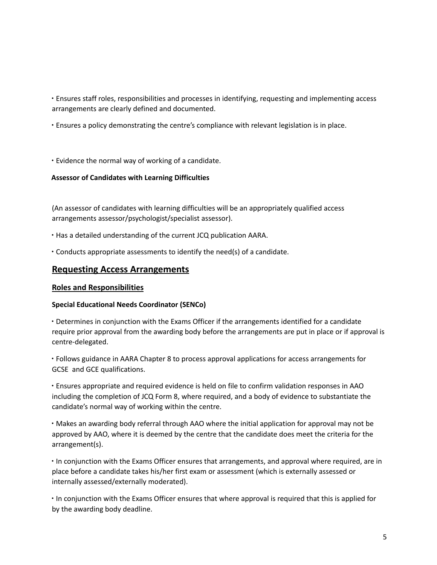∙ Ensures staff roles, responsibilities and processes in identifying, requesting and implementing access arrangements are clearly defined and documented.

- ∙ Ensures a policy demonstrating the centre's compliance with relevant legislation is in place.
- ∙ Evidence the normal way of working of a candidate.

## **Assessor of Candidates with Learning Difficulties**

(An assessor of candidates with learning difficulties will be an appropriately qualified access arrangements assessor/psychologist/specialist assessor).

- ∙ Has a detailed understanding of the current JCQ publication AARA.
- ∙ Conducts appropriate assessments to identify the need(s) of a candidate.

## **Requesting Access Arrangements**

## **Roles and Responsibilities**

### **Special Educational Needs Coordinator (SENCo)**

∙ Determines in conjunction with the Exams Officer if the arrangements identified for a candidate require prior approval from the awarding body before the arrangements are put in place or if approval is centre-delegated.

∙ Follows guidance in AARA Chapter 8 to process approval applications for access arrangements for GCSE and GCE qualifications.

∙ Ensures appropriate and required evidence is held on file to confirm validation responses in AAO including the completion of JCQ Form 8, where required, and a body of evidence to substantiate the candidate's normal way of working within the centre.

∙ Makes an awarding body referral through AAO where the initial application for approval may not be approved by AAO, where it is deemed by the centre that the candidate does meet the criteria for the arrangement(s).

∙ In conjunction with the Exams Officer ensures that arrangements, and approval where required, are in place before a candidate takes his/her first exam or assessment (which is externally assessed or internally assessed/externally moderated).

∙ In conjunction with the Exams Officer ensures that where approval is required that this is applied for by the awarding body deadline.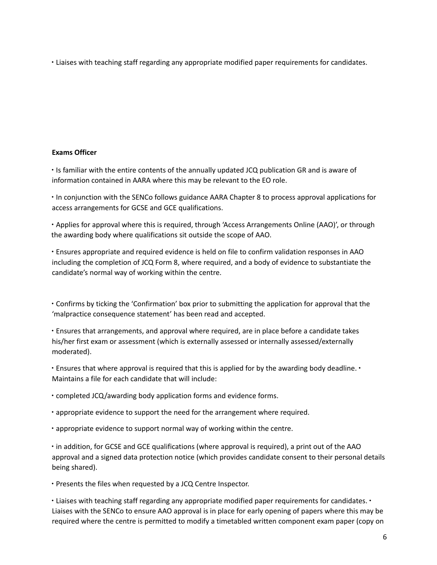∙ Liaises with teaching staff regarding any appropriate modified paper requirements for candidates.

## **Exams Officer**

∙ Is familiar with the entire contents of the annually updated JCQ publication GR and is aware of information contained in AARA where this may be relevant to the EO role.

∙ In conjunction with the SENCo follows guidance AARA Chapter 8 to process approval applications for access arrangements for GCSE and GCE qualifications.

∙ Applies for approval where this is required, through 'Access Arrangements Online (AAO)', or through the awarding body where qualifications sit outside the scope of AAO.

∙ Ensures appropriate and required evidence is held on file to confirm validation responses in AAO including the completion of JCQ Form 8, where required, and a body of evidence to substantiate the candidate's normal way of working within the centre.

∙ Confirms by ticking the 'Confirmation' box prior to submitting the application for approval that the 'malpractice consequence statement' has been read and accepted.

∙ Ensures that arrangements, and approval where required, are in place before a candidate takes his/her first exam or assessment (which is externally assessed or internally assessed/externally moderated).

∙ Ensures that where approval is required that this is applied for by the awarding body deadline. ∙ Maintains a file for each candidate that will include:

∙ completed JCQ/awarding body application forms and evidence forms.

∙ appropriate evidence to support the need for the arrangement where required.

∙ appropriate evidence to support normal way of working within the centre.

∙ in addition, for GCSE and GCE qualifications (where approval is required), a print out of the AAO approval and a signed data protection notice (which provides candidate consent to their personal details being shared).

∙ Presents the files when requested by a JCQ Centre Inspector.

∙ Liaises with teaching staff regarding any appropriate modified paper requirements for candidates. ∙ Liaises with the SENCo to ensure AAO approval is in place for early opening of papers where this may be required where the centre is permitted to modify a timetabled written component exam paper (copy on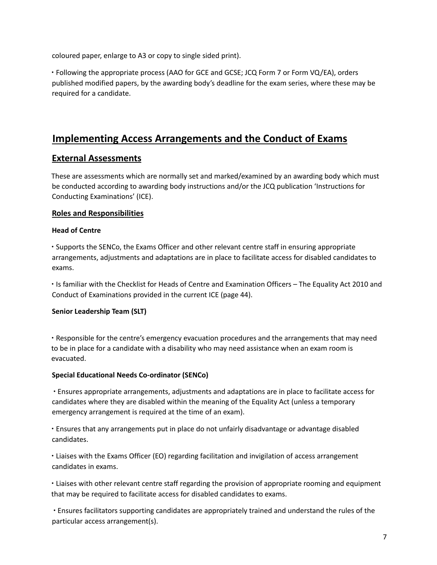coloured paper, enlarge to A3 or copy to single sided print).

∙ Following the appropriate process (AAO for GCE and GCSE; JCQ Form 7 or Form VQ/EA), orders published modified papers, by the awarding body's deadline for the exam series, where these may be required for a candidate.

## **Implementing Access Arrangements and the Conduct of Exams**

## **External Assessments**

These are assessments which are normally set and marked/examined by an awarding body which must be conducted according to awarding body instructions and/or the JCQ publication 'Instructions for Conducting Examinations' (ICE).

## **Roles and Responsibilities**

## **Head of Centre**

∙ Supports the SENCo, the Exams Officer and other relevant centre staff in ensuring appropriate arrangements, adjustments and adaptations are in place to facilitate access for disabled candidates to exams.

∙ Is familiar with the Checklist for Heads of Centre and Examination Officers – The Equality Act 2010 and Conduct of Examinations provided in the current ICE (page 44).

## **Senior Leadership Team (SLT)**

∙ Responsible for the centre's emergency evacuation procedures and the arrangements that may need to be in place for a candidate with a disability who may need assistance when an exam room is evacuated.

## **Special Educational Needs Co-ordinator (SENCo)**

∙ Ensures appropriate arrangements, adjustments and adaptations are in place to facilitate access for candidates where they are disabled within the meaning of the Equality Act (unless a temporary emergency arrangement is required at the time of an exam).

∙ Ensures that any arrangements put in place do not unfairly disadvantage or advantage disabled candidates.

∙ Liaises with the Exams Officer (EO) regarding facilitation and invigilation of access arrangement candidates in exams.

∙ Liaises with other relevant centre staff regarding the provision of appropriate rooming and equipment that may be required to facilitate access for disabled candidates to exams.

∙ Ensures facilitators supporting candidates are appropriately trained and understand the rules of the particular access arrangement(s).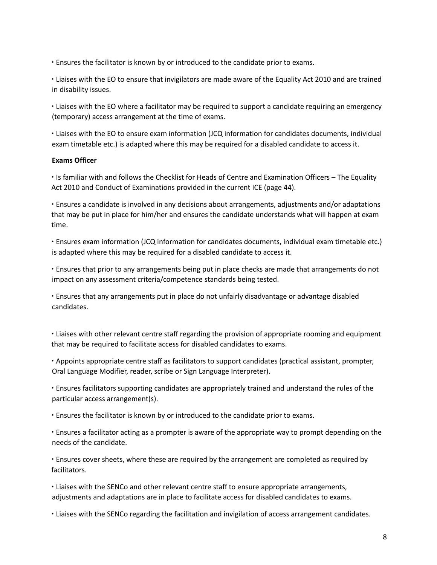∙ Ensures the facilitator is known by or introduced to the candidate prior to exams.

∙ Liaises with the EO to ensure that invigilators are made aware of the Equality Act 2010 and are trained in disability issues.

∙ Liaises with the EO where a facilitator may be required to support a candidate requiring an emergency (temporary) access arrangement at the time of exams.

∙ Liaises with the EO to ensure exam information (JCQ information for candidates documents, individual exam timetable etc.) is adapted where this may be required for a disabled candidate to access it.

### **Exams Officer**

∙ Is familiar with and follows the Checklist for Heads of Centre and Examination Officers – The Equality Act 2010 and Conduct of Examinations provided in the current ICE (page 44).

∙ Ensures a candidate is involved in any decisions about arrangements, adjustments and/or adaptations that may be put in place for him/her and ensures the candidate understands what will happen at exam time.

∙ Ensures exam information (JCQ information for candidates documents, individual exam timetable etc.) is adapted where this may be required for a disabled candidate to access it.

∙ Ensures that prior to any arrangements being put in place checks are made that arrangements do not impact on any assessment criteria/competence standards being tested.

∙ Ensures that any arrangements put in place do not unfairly disadvantage or advantage disabled candidates.

∙ Liaises with other relevant centre staff regarding the provision of appropriate rooming and equipment that may be required to facilitate access for disabled candidates to exams.

∙ Appoints appropriate centre staff as facilitators to support candidates (practical assistant, prompter, Oral Language Modifier, reader, scribe or Sign Language Interpreter).

∙ Ensures facilitators supporting candidates are appropriately trained and understand the rules of the particular access arrangement(s).

∙ Ensures the facilitator is known by or introduced to the candidate prior to exams.

∙ Ensures a facilitator acting as a prompter is aware of the appropriate way to prompt depending on the needs of the candidate.

∙ Ensures cover sheets, where these are required by the arrangement are completed as required by facilitators.

∙ Liaises with the SENCo and other relevant centre staff to ensure appropriate arrangements, adjustments and adaptations are in place to facilitate access for disabled candidates to exams.

∙ Liaises with the SENCo regarding the facilitation and invigilation of access arrangement candidates.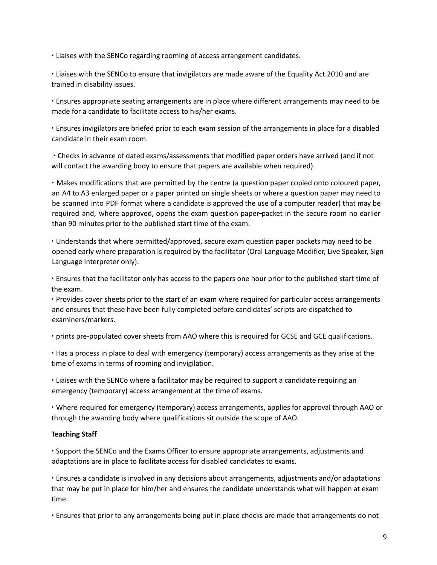∙ Liaises with the SENCo regarding rooming of access arrangement candidates.

∙ Liaises with the SENCo to ensure that invigilators are made aware of the Equality Act 2010 and are trained in disability issues.

∙ Ensures appropriate seating arrangements are in place where different arrangements may need to be made for a candidate to facilitate access to his/her exams.

∙ Ensures invigilators are briefed prior to each exam session of the arrangements in place for a disabled candidate in their exam room.

∙ Checks in advance of dated exams/assessments that modified paper orders have arrived (and if not will contact the awarding body to ensure that papers are available when required).

∙ Makes modifications that are permitted by the centre (a question paper copied onto coloured paper, an A4 to A3 enlarged paper or a paper printed on single sheets or where a question paper may need to be scanned into PDF format where a candidate is approved the use of a computer reader) that may be required and, where approved, opens the exam question paper-packet in the secure room no earlier than 90 minutes prior to the published start time of the exam.

∙ Understands that where permitted/approved, secure exam question paper packets may need to be opened early where preparation is required by the facilitator (Oral Language Modifier, Live Speaker, Sign Language Interpreter only).

∙ Ensures that the facilitator only has access to the papers one hour prior to the published start time of the exam.

∙ Provides cover sheets prior to the start of an exam where required for particular access arrangements and ensures that these have been fully completed before candidates' scripts are dispatched to examiners/markers.

∙ prints pre-populated cover sheets from AAO where this is required for GCSE and GCE qualifications.

∙ Has a process in place to deal with emergency (temporary) access arrangements as they arise at the time of exams in terms of rooming and invigilation.

∙ Liaises with the SENCo where a facilitator may be required to support a candidate requiring an emergency (temporary) access arrangement at the time of exams.

∙ Where required for emergency (temporary) access arrangements, applies for approval through AAO or through the awarding body where qualifications sit outside the scope of AAO.

## **Teaching Staff**

∙ Support the SENCo and the Exams Officer to ensure appropriate arrangements, adjustments and adaptations are in place to facilitate access for disabled candidates to exams.

∙ Ensures a candidate is involved in any decisions about arrangements, adjustments and/or adaptations that may be put in place for him/her and ensures the candidate understands what will happen at exam time.

∙ Ensures that prior to any arrangements being put in place checks are made that arrangements do not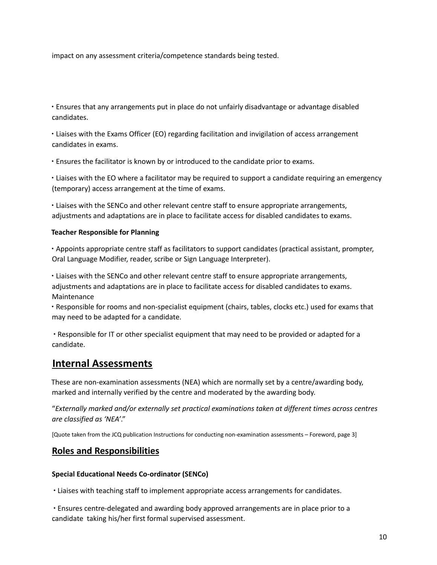impact on any assessment criteria/competence standards being tested.

∙ Ensures that any arrangements put in place do not unfairly disadvantage or advantage disabled candidates.

∙ Liaises with the Exams Officer (EO) regarding facilitation and invigilation of access arrangement candidates in exams.

∙ Ensures the facilitator is known by or introduced to the candidate prior to exams.

∙ Liaises with the EO where a facilitator may be required to support a candidate requiring an emergency (temporary) access arrangement at the time of exams.

∙ Liaises with the SENCo and other relevant centre staff to ensure appropriate arrangements, adjustments and adaptations are in place to facilitate access for disabled candidates to exams.

## **Teacher Responsible for Planning**

∙ Appoints appropriate centre staff as facilitators to support candidates (practical assistant, prompter, Oral Language Modifier, reader, scribe or Sign Language Interpreter).

∙ Liaises with the SENCo and other relevant centre staff to ensure appropriate arrangements, adjustments and adaptations are in place to facilitate access for disabled candidates to exams. Maintenance

∙ Responsible for rooms and non-specialist equipment (chairs, tables, clocks etc.) used for exams that may need to be adapted for a candidate.

∙ Responsible for IT or other specialist equipment that may need to be provided or adapted for a candidate.

## **Internal Assessments**

These are non-examination assessments (NEA) which are normally set by a centre/awarding body, marked and internally verified by the centre and moderated by the awarding body.

"*Externally marked and/or externally set practical examinations taken at different times across centres are classified as 'NEA'*."

[Quote taken from the JCQ publication Instructions for conducting non-examination assessments – Foreword, page 3]

## **Roles and Responsibilities**

## **Special Educational Needs Co-ordinator (SENCo)**

∙ Liaises with teaching staff to implement appropriate access arrangements for candidates.

∙ Ensures centre-delegated and awarding body approved arrangements are in place prior to a candidate taking his/her first formal supervised assessment.